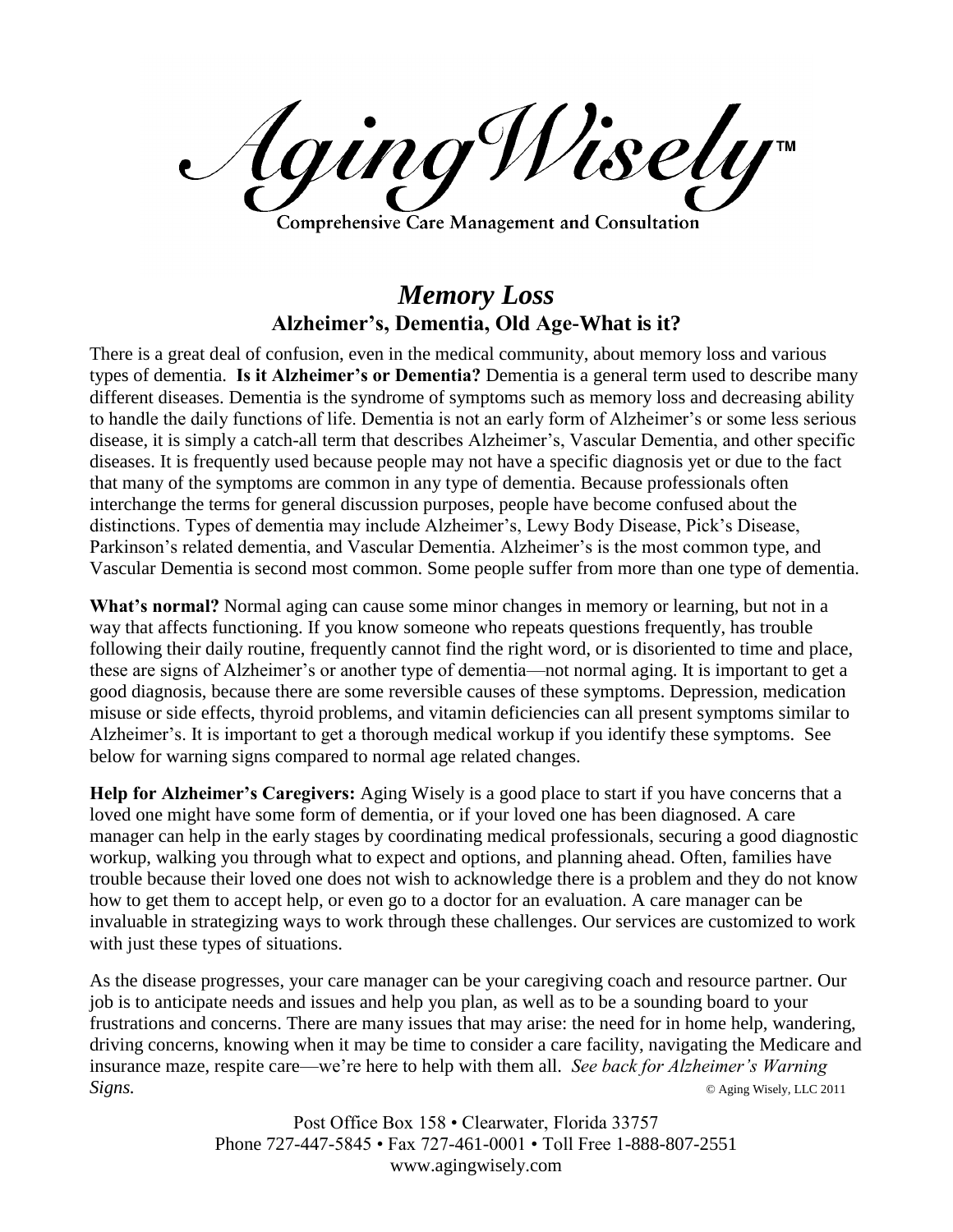AgingWisely **Comprehensive Care Management and Consultation** 

## *Memory Loss* **Alzheimer's, Dementia, Old Age-What is it?**

There is a great deal of confusion, even in the medical community, about memory loss and various types of dementia. **Is it Alzheimer's or Dementia?** Dementia is a general term used to describe many different diseases. Dementia is the syndrome of symptoms such as memory loss and decreasing ability to handle the daily functions of life. Dementia is not an early form of Alzheimer's or some less serious disease, it is simply a catch-all term that describes Alzheimer's, Vascular Dementia, and other specific diseases. It is frequently used because people may not have a specific diagnosis yet or due to the fact that many of the symptoms are common in any type of dementia. Because professionals often interchange the terms for general discussion purposes, people have become confused about the distinctions. Types of dementia may include Alzheimer's, Lewy Body Disease, Pick's Disease, Parkinson's related dementia, and Vascular Dementia. Alzheimer's is the most common type, and Vascular Dementia is second most common. Some people suffer from more than one type of dementia.

**What's normal?** Normal aging can cause some minor changes in memory or learning, but not in a way that affects functioning. If you know someone who repeats questions frequently, has trouble following their daily routine, frequently cannot find the right word, or is disoriented to time and place, these are signs of Alzheimer's or another type of dementia—not normal aging. It is important to get a good diagnosis, because there are some reversible causes of these symptoms. Depression, medication misuse or side effects, thyroid problems, and vitamin deficiencies can all present symptoms similar to Alzheimer's. It is important to get a thorough medical workup if you identify these symptoms. See below for warning signs compared to normal age related changes.

**Help for Alzheimer's Caregivers:** Aging Wisely is a good place to start if you have concerns that a loved one might have some form of dementia, or if your loved one has been diagnosed. A care manager can help in the early stages by coordinating medical professionals, securing a good diagnostic workup, walking you through what to expect and options, and planning ahead. Often, families have trouble because their loved one does not wish to acknowledge there is a problem and they do not know how to get them to accept help, or even go to a doctor for an evaluation. A care manager can be invaluable in strategizing ways to work through these challenges. Our services are customized to work with just these types of situations.

As the disease progresses, your care manager can be your caregiving coach and resource partner. Our job is to anticipate needs and issues and help you plan, as well as to be a sounding board to your frustrations and concerns. There are many issues that may arise: the need for in home help, wandering, driving concerns, knowing when it may be time to consider a care facility, navigating the Medicare and insurance maze, respite care—we're here to help with them all. *See back for Alzheimer's Warning Signs.* © Aging Wisely, LLC 2011

> Post Office Box 158 • Clearwater, Florida 33757 Phone 727-447-5845 • Fax 727-461-0001 • Toll Free 1-888-807-2551 www.agingwisely.com